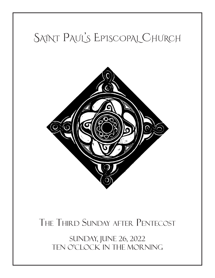# SAINT PAUL'S EPISCOPAL CHURCH



# The Third Sunday after Pentecost

sunday, june 26, 2022 ten o'clock in the morning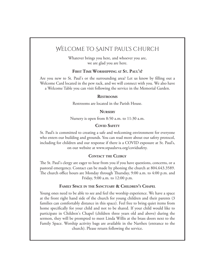# Welcome to Saint Paul's Church

Whatever brings you here, and whoever you are, we are glad you are here.

#### **First Time Worshipping at St. Paul's?**

Are you new to St. Paul's or the surrounding area? Let us know by filling out a Welcome Card located in the pew rack, and we will connect with you. We also have a Welcome Table you can visit following the service in the Memorial Garden.

#### **Restrooms**

Restrooms are located in the Parish House.

#### **Nursery**

Nursery is open from 8:50 a.m. to 11:30 a.m.

#### **Covid Safety**

St. Paul's is committed to creating a safe and welcoming environment for everyone who enters our building and grounds. You can read more about our safety protocol, including for children and our response if there is a COVID exposure at St. Paul's, on our website at www.stpaulsrva.org/covidsafety.

#### **Contact the Clergy**

The St. Paul's clergy are eager to hear from you if you have questions, concerns, or a pastoral emergency. Contact can be made by phoning the church at 804.643.3589. The church office hours are Monday through Thursday, 9:00 a.m. to 4:00 p.m. and Friday, 9:00 a.m. to 12:00 p.m.

#### **Family Space in the Sanctuary & Children's Chapel**

Young ones need to be able to see and feel the worship experience. We have a space at the front right hand side of the church for young children and their parents (3 families can comfortably distance in this space). Feel free to bring quiet items from home specifically for your child and not to be shared. If your child would like to participate in Children's Chapel (children three years old and above) during the sermon, they will be prompted to meet Linda Willis at the brass doors next to the Family Space. Worship activity bags are available in the Narthex (entrance to the church). Please return following the service.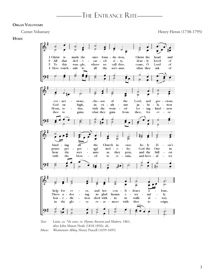#### **Organ Voluntary**

Cornet Voluntary **Henry Heron (1738-1795)** 

**Hymn**



*Text:* Latin, ca. 7th cent.; tr. *Hymns Ancient and Modern,* 1861, after John Mason Neale (1818-1856), alt. *Music: Westminster Abbey,* Henry Purcell (1659-1695)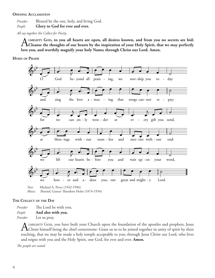#### **Opening Acclamation**

*Presider* Blessed be the one, holy, and living God.

*People* **Glory to God for ever and ever.**

*All say together the Collect for Purity.*

A LMIGHTY GOD, to you all hearts are open, all desires known, and from you no secrets are hid:<br> **Cleanse the thoughts of our hearts by the inspiration of your Holy Spirit, that we may perfectly love you, and worthily magnify your holy Name; through Christ our Lord. Amen.** LMIGHTY GOD, to you all hearts are open, all desires known, and from you no secrets are hid:

**Hymn of Praise**



*Music: Thaxted*, Gustav Theodore Holst (1874-1934)

#### **The Collect of the Day**

*Presider* The Lord be with you. *People* **And also with you.** *Presider* Let us pray.

ALMIGHTY GOD, you have built your Church upon the foundation of the apostles and prophets, Jesus<br>Christ himself being the chief cornerstone: Grant us so to be joined together in unity of spirit by their teaching, that we may be made a holy temple acceptable to you; through Jesus Christ our Lord, who lives and reigns with you and the Holy Spirit, one God, for ever and ever. **Amen.** 

*The people are seated.*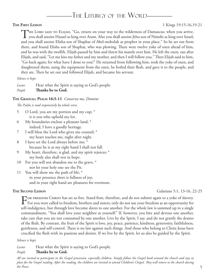# -The Liturgy of the Word-

#### **The First Lesson** 1 Kings 19:15-16,19-21

THE LORD SAID TO ELIJAH, "Go, return on your way to the wilderness of Damascus; when you arrive, you shall anoint Hazael as king over Aram. Also you shall anoint Jehu son of Nimshi as king over Israel; and you shall anoint Elisha son of Shaphat of Abel-meholah as prophet in your place." So he set out from there, and found Elisha son of Shaphat, who was plowing. There were twelve yoke of oxen ahead of him, and he was with the twelfth. Elijah passed by him and threw his mantle over him. He left the oxen, ran after Elijah, and said, "Let me kiss my father and my mother, and then I will follow you." Then Elijah said to him, "Go back again; for what have I done to you?" He returned from following him, took the yoke of oxen, and slaughtered them; using the equipment from the oxen, he boiled their flesh, and gave it to the people, and they ate. Then he set out and followed Elijah, and became his servant.

#### *Silence is kept.*

*Lector* Hear what the Spirit is saying to God's people. *People* **Thanks be to God.**

#### **The Gradual: Psalm 16:5-11** *Conserva me, Domine*

*The Psalm is read responsively by whole verse.*

- 5 O Lord, you are my portion and my cup; \* it is you who uphold my lot.
- 6 My boundaries enclose a pleasant land; \* indeed, I have a goodly heritage.
- 7 I will bless the Lord who gives me counsel; \* my heart teaches me, night after night.
- 8 I have set the Lord always before me; \* because he is at my right hand I shall not fall.
- 9 My heart, therefore, is glad, and my spirit rejoices; \* my body also shall rest in hope.
- 10 For you will not abandon me to the grave, \* nor let your holy one see the Pit.
- 11 You will show me the path of life; \* in your presence there is fullness of joy, and in your right hand are pleasures for evermore.

**The Second Lesson** Galatians 5:1, 13-16, 22-25

For freedom Christ has set us free. Stand firm, therefore, and do not submit again to a yoke of slavery.<br>For you were called to freedom, brothers and sisters; only do not use your freedom as an opportunity for self-indulgence, but through love become slaves to one another. For the whole law is summed up in a single commandment, "You shall love your neighbor as yourself." If, however, you bite and devour one another, take care that you are not consumed by one another. Live by the Spirit, I say, and do not gratify the desires of the flesh. By contrast, the fruit of the Spirit is love, joy, peace, patience, kindness, generosity, faithfulness, gentleness, and self-control. There is no law against such things. And those who belong to Christ Jesus have crucified the flesh with its passions and desires. If we live by the Spirit, let us also be guided by the Spirit.

#### *Silence is kept.*

*Lector* Hear what the Spirit is saying to God's people.

#### *People* **Thanks be to God.**

*All are invited to participate in the Gospel procession, especially children. Simply follow the Gospel book around the church and stay in place for the Gospel reading. After the reading, the children are invited to attend Children's Chapel. They will return to the church during the Peace.*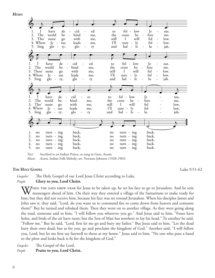**Hymn**



*Text:* Ascribed to an Indian Prince; as sung in Garo, Assam *Music: Assam,* Indian Folk Melody; arr. Norman Johnson (1928-1983)

### **THE** HOLY GOSPEL Luke 9:51-62

*Gospeler* The Holy Gospel of our Lord Jesus Christ according to Luke. *People* **Glory to you, Lord Christ.**

THEN THE DAYS DREW NEAR for Jesus to be taken up, he set his face to go to Jerusalem. And he sent messengers ahead of him. On their way they entered a village of the Samaritans to make ready for him; but they did not receive him, because his face was set toward Jerusalem. When his disciples James and John saw it, they said, "Lord, do you want us to command fire to come down from heaven and consume them?" But he turned and rebuked them. Then they went on to another village. As they were going along the road, someone said to him, "I will follow you wherever you go." And Jesus said to him, "Foxes have holes, and birds of the air have nests; but the Son of Man has nowhere to lay his head." To another he said, "Follow me." But he said, "Lord, first let me go and bury my father." But Jesus said to him, "Let the dead bury their own dead; but as for you, go and proclaim the kingdom of God." Another said, "I will follow you, Lord; but let me first say farewell to those at my home." Jesus said to him, "No one who puts a hand to the plow and looks back is fit for the kingdom of God."

*Gospeler* The Gospel of the Lord. *People* **Praise to you, Lord Christ.**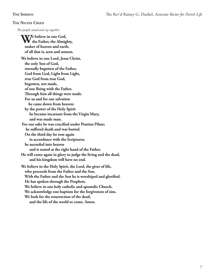#### **The Nicene Creed**

*The people stand and say together.*

**We believe in one God, the Father, the Almighty, maker of heaven and earth, of all that is, seen and unseen. We believe in one Lord, Jesus Christ, the only Son of God, eternally begotten of the Father, God from God, Light from Light, true God from true God, begotten, not made, of one Being with the Father. Through him all things were made. For us and for our salvation he came down from heaven: by the power of the Holy Spirit he became incarnate from the Virgin Mary, and was made man. For our sake he was crucified under Pontius Pilate; he suffered death and was buried. On the third day he rose again in accordance with the Scriptures; he ascended into heaven and is seated at the right hand of the Father. He will come again in glory to judge the living and the dead, and his kingdom will have no end. We believe in the Holy Spirit, the Lord, the giver of life, who proceeds from the Father and the Son. With the Father and the Son he is worshiped and glorified. He has spoken through the Prophets. We believe in one holy catholic and apostolic Church. We acknowledge one baptism for the forgiveness of sins. We look for the resurrection of the dead, and the life of the world to come. Amen.**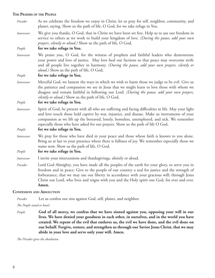#### **The Prayers of the People**

- *Presider* As we celebrate the freedom we enjoy in Christ, let us pray for self, neighbor, community, and planet, saying, Show us the path of life, O God, for we take refuge in You.
- *Intercessor* We give you thanks, O God, that in Christ we have been set free. Help us to use our freedom in service to others as we work to build your kingdom of love. *(During the pause, add your own prayers, silently or aloud.)* Show us the path of life, O God,

*People* **for we take refuge in You.**

*Intercessor* We praise you, O God, for the witness of prophets and faithful leaders who demonstrate your power and love of justice. May love heal our factions so that peace may overcome strife and all people live together in harmony. *(During the pause, add your own prayers, silently or aloud.)* Show us the path of life, O God,

*People* **for we take refuge in You.**

*Intercessor* Merciful God, we lament the ways in which we wish to harm those we judge to be evil. Give us the patience and compassion we see in Jesus that we might learn to love those with whom we disagree and remain faithful in following our Lord. *(During the pause, add your own prayers, silently or aloud.)* Show us the path of life, O God,

#### *People* **for we take refuge in You.**

*Intercessor* Spirit of God, be present with all who are suffering and facing difficulties in life. May your light and love touch those held captive by war, injustice, and disease. Make us instruments of your compassion as we lift up the bereaved, lonely, homeless, unemployed, and sick. We remember especially those who have asked for our prayers. Show us the path of life O God,

#### *People* **for we take refuge in You.**

*Intercessor* We pray for those who have died in your peace and those whose faith is known to you alone. Bring us at last to your presence where there is fullness of joy. We remember especially those we name now. Show us the path of life, O God,

#### *People* **for we take refuge in You.**

*Intercessor* I invite your intercessions and thanksgivings, silently or aloud.

*Presider* Lord God Almighty, you have made all the peoples of the earth for your glory, to serve you in freedom and in peace: Give to the people of our country a zeal for justice and the strength of forbearance, that we may use our liberty in accordance with your gracious will; through Jesus Christ our Lord, who lives and reigns with you and the Holy spirit one God, for ever and ever. **Amen.**

#### **Confession and Absolution**

*Presider* Let us confess our sins against God, self, planet, and neighbor.

*The People stand or kneel.*

*People* **God of all mercy, we confess that we have sinned against you, opposing your will in our lives. We have denied your goodness in each other, in ourselves, and in the world you have created. We repent of the evil that enslaves us, the evil we have done, and the evil done on our behalf. Forgive, restore, and strengthen us through our Savior Jesus Christ, that we may abide in your love and serve only your will. Amen.**

*The Presider gives the absolution.*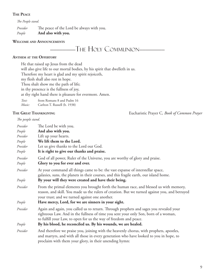#### **The Peace**

*The People stand.*

*Presider* The peace of the Lord be always with you. *People* **And also with you.**

#### **Welcome and Announcements**



#### **Anthem at the Offertory**

He that raised up Jesus from the dead will also give life to our mortal bodies, by his spirit that dwelleth in us. Therefore my heart is glad and my spirit rejoiceth, my flesh shall also rest in hope. Thou shalt show me the path of life; in thy presence is the fullness of joy, at thy right hand there is pleasure for evermore. Amen. *Text:* from Romans 8 and Psalm 16 *Music:* Carlton T. Russell (b. 1938)

**The Great Thanksgiving** Eucharistic Prayer C*, Book of Common Prayer*

*The people stand.*

*Presider* The Lord be with you. *People* **And also with you.** *Presider* Lift up your hearts. *People* **We lift them to the Lord.** *Presider* Let us give thanks to the Lord our God. *People* **It is right to give our thanks and praise.** *Presider* God of all power, Ruler of the Universe, you are worthy of glory and praise. *People* **Glory to you for ever and ever.** *Presider* At your command all things came to be: the vast expanse of interstellar space, galaxies, suns, the planets in their courses, and this fragile earth, our island home. *People* **By your will they were created and have their being.** *Presider* From the primal elements you brought forth the human race, and blessed us with memory, reason, and skill. You made us the rulers of creation. But we turned against you, and betrayed your trust; and we turned against one another. *People* **Have mercy, Lord, for we are sinners in your sight.** *Presider* Again and again, you called us to return. Through prophets and sages you revealed your righteous Law. And in the fullness of time you sent your only Son, born of a woman, to fulfill your Law, to open for us the way of freedom and peace. *People* **By his blood, he reconciled us. By his wounds, we are healed.** *Presider* And therefore we praise you, joining with the heavenly chorus, with prophets, apostles, and martyrs, and with all those in every generation who have looked to you in hope, to proclaim with them your glory, in their unending hymn: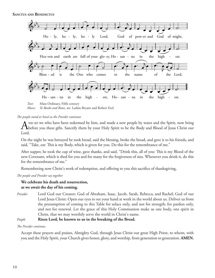**Sanctus and Benedictus**



*Music: Ye Banks and Braes,* arr. Larkin Bryant and Robert Feol

*The people stand or kneel as the Presider continues*

And so we who have been redeemed by him, and made a new people by water and the Spirit, now bring before you these gifts. Sanctify them by your Holy Spirit to be the Body and Blood of Jesus Christ our Lord.

On the night he was betrayed he took bread, said the blessing, broke the bread, and gave it to his friends, and said, "Take, eat: This is my Body, which is given for you. Do this for the remembrance of me."

After supper, he took the cup of wine, gave thanks, and said, "Drink this, all of you: This is my Blood of the new Covenant, which is shed for you and for many for the forgiveness of sins. Whenever you drink it, do this for the remembrance of me."

Remembering now Christ's work of redemption, and offering to you this sacrifice of thanksgiving,

*The people and Presider say together*

### **We celebrate his death and resurrection, as we await the day of his coming.**

*Presider* Lord God our Creator; God of Abraham, Isaac, Jacob, Sarah, Rebecca, and Rachel; God of our Lord Jesus Christ: Open our eyes to see your hand at work in the world about us. Deliver us from the presumption of coming to this Table for solace only, and not for strength; for pardon only, and not for renewal. Let the grace of this Holy Communion make us one body, one spirit in Christ, that we may worthily serve the world in Christ's name.

### *People* **Risen Lord, be known to us in the breaking of the Bread.**

*The Presider continues*

Accept these prayers and praises, Almighty God, through Jesus Christ our great High Priest, to whom, with you and the Holy Spirit, your Church gives honor, glory, and worship, from generation to generation. **AMEN.**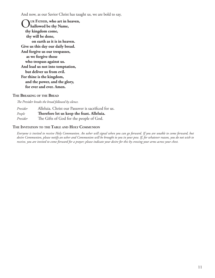And now, as our Savior Christ has taught us, we are bold to say,

O**ur Father, who art in heaven, hallowed be thy Name, thy kingdom come, thy will be done, on earth as it is in heaven. Give us this day our daily bread. And forgive us our trespasses, as we forgive those who trespass against us. And lead us not into temptation, but deliver us from evil. For thine is the kingdom, and the power, and the glory, for ever and ever. Amen.**

#### **The Breaking of the Bread**

*The Presider breaks the bread followed by silence.*

*Presider* Alleluia. Christ our Passover is sacrificed for us. *People* **Therefore let us keep the feast. Alleluia.** *Presider* The Gifts of God for the people of God.

#### **The Invitation to the Table and Holy Communion**

*Everyone is invited to receive Holy Communion. An usher will signal when you can go forward. If you are unable to come forward, but desire Communion, please notify an usher and Communion will be brought to you in your pew. If, for whatever reason, you do not wish to receive, you are invited to come forward for a prayer; please indicate your desire for this by crossing your arms across your chest.*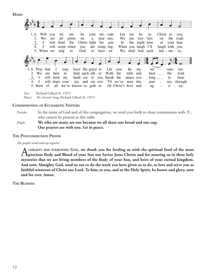**Hymn**



#### **Commissioning of Eucharistic Visitors**

*Presider* In the name of God and of this congregation, we send you forth to share communion with *N*., who cannot be present at this table.

*People* **We who are many are one because we all share one bread and one cup. Our prayers are with you. Go in peace.** 

#### **The Postcommunion Prayer**

*The people stand and say together.*

ALMIGHTY AND EVERLIVING GOD, we thank you for feeding us with the spiritual food of the most<br>Aprecious Body and Blood of your Son our Savior Jesus Christ; and for assuring us in these holy **mysteries that we are living members of the Body of your Son, and heirs of your eternal kingdom. And now, Almighty God, send us out to do the work you have given us to do, to love and serve you as faithful witnesses of Christ our Lord. To him, to you, and to the Holy Spirit, be honor and glory, now and for ever. Amen.**

**The Blessing**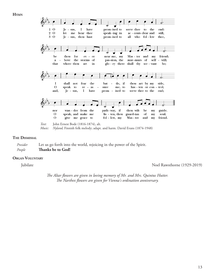**Hymn**



#### **The Dismissal**

*Presider* Let us go forth into the world, rejoicing in the power of the Spirit. *People* **Thanks be to God!**

#### **Organ Voluntary**

Jubilate Noel Rawsthorne (1929-2019)

*The Altar flowers are given in loving memory of Mr. and Mrs. Quintus Hutter. The Narthex flowers are given for Vienna's ordination anniversary.*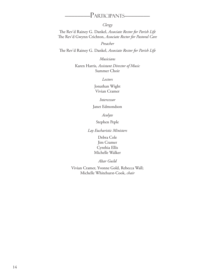## ––––––––Participants––––––––

*Clergy*

The Rev'd Rainey G. Dankel, *Associate Rector for Parish Life* The Rev'd Gwynn Crichton, *Associate Rector for Pastoral Care*

*Preacher*

The Rev'd Rainey G. Dankel, *Associate Rector for Parish Life*

*Musicians*

Karen Harris*, Assistant Director of Music* Summer Choir

*Lectors*

Jonathan Wight Vivian Cramer

*Intercessor*

Janet Edmondson

*Acolyte*

Stephen Peple

*Lay Eucharistic Ministers*

Debra Cole Jim Cramer Cynthia Ellis Michelle Walker

*Altar Guild*

Vivian Cramer, Yvonne Gold, Rebecca Wall; Michelle Whitehurst-Cook, *chair*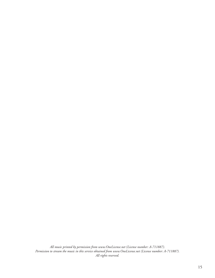*All music printed by permission from www.OneLicense.net (License number: A-711887). Permission to stream the music in this service obtained from www.OneLicense.net (License number: A-711887). All rights reserved.*